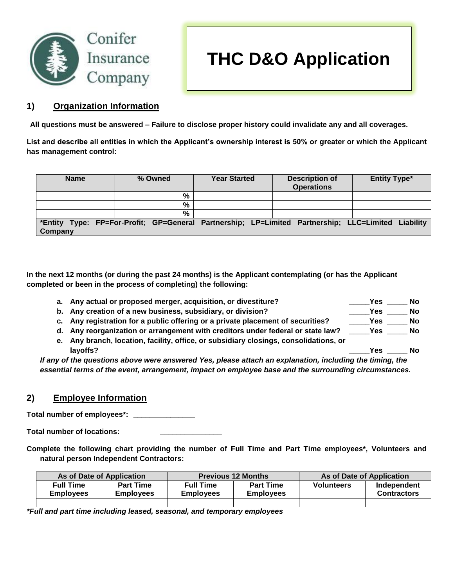

## **1) Organization Information**

**All questions must be answered – Failure to disclose proper history could invalidate any and all coverages.**

**List and describe all entities in which the Applicant's ownership interest is 50% or greater or which the Applicant has management control:**

| <b>Name</b> | % Owned                                                                                            | <b>Year Started</b> | <b>Description of</b><br><b>Operations</b> | <b>Entity Type*</b> |
|-------------|----------------------------------------------------------------------------------------------------|---------------------|--------------------------------------------|---------------------|
|             | %                                                                                                  |                     |                                            |                     |
|             | %                                                                                                  |                     |                                            |                     |
|             | $\frac{9}{6}$                                                                                      |                     |                                            |                     |
| Company     | *Entity Type: FP=For-Profit; GP=General Partnership; LP=Limited Partnership; LLC=Limited Liability |                     |                                            |                     |

**In the next 12 months (or during the past 24 months) is the Applicant contemplating (or has the Applicant completed or been in the process of completing) the following:**

**a. Any actual or proposed merger, acquisition, or divestiture? \_\_\_\_\_Yes \_\_\_\_\_ No b. Any creation of a new business, subsidiary, or division? \_\_\_\_\_Yes \_\_\_\_\_ No c. Any registration for a public offering or a private placement of securities? \_\_\_\_\_Yes \_\_\_\_\_ No d. Any reorganization or arrangement with creditors under federal or state law? \_\_\_\_\_Yes \_\_\_\_\_ No e. Any branch, location, facility, office, or subsidiary closings, consolidations, or layoffs?** Note that the control of the control of the control of the control of the control of the control of the control of the control of the control of the control of the control of the control of the control of the co

*If any of the questions above were answered Yes, please attach an explanation, including the timing, the essential terms of the event, arrangement, impact on employee base and the surrounding circumstances.*

### **2) Employee Information**

**Total number of employees\*: \_\_\_\_\_\_\_\_\_\_\_\_\_\_\_**

**Total number of locations: \_\_\_\_\_\_\_\_\_\_\_\_\_\_\_**

**Complete the following chart providing the number of Full Time and Part Time employees\*, Volunteers and natural person Independent Contractors:**

| As of Date of Application |                                      | <b>Previous 12 Months</b>            |                                      | As of Date of Application |                                   |
|---------------------------|--------------------------------------|--------------------------------------|--------------------------------------|---------------------------|-----------------------------------|
| Full Time<br>Emplovees    | <b>Part Time</b><br><b>Employees</b> | <b>Full Time</b><br><b>Employees</b> | <b>Part Time</b><br><b>Employees</b> | <b>Volunteers</b>         | Independent<br><b>Contractors</b> |
|                           |                                      |                                      |                                      |                           |                                   |

*\*Full and part time including leased, seasonal, and temporary employees*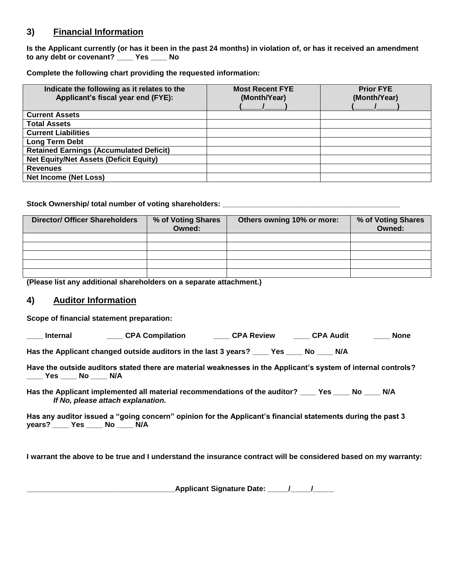# **3) Financial Information**

**Is the Applicant currently (or has it been in the past 24 months) in violation of, or has it received an amendment to any debt or covenant? \_\_\_\_ Yes \_\_\_\_ No**

**Complete the following chart providing the requested information:**

| Indicate the following as it relates to the<br>Applicant's fiscal year end (FYE): | <b>Most Recent FYE</b><br>(Month/Year) | <b>Prior FYE</b><br>(Month/Year) |
|-----------------------------------------------------------------------------------|----------------------------------------|----------------------------------|
| <b>Current Assets</b>                                                             |                                        |                                  |
| <b>Total Assets</b>                                                               |                                        |                                  |
| <b>Current Liabilities</b>                                                        |                                        |                                  |
| Long Term Debt                                                                    |                                        |                                  |
| <b>Retained Earnings (Accumulated Deficit)</b>                                    |                                        |                                  |
| <b>Net Equity/Net Assets (Deficit Equity)</b>                                     |                                        |                                  |
| <b>Revenues</b>                                                                   |                                        |                                  |
| <b>Net Income (Net Loss)</b>                                                      |                                        |                                  |

#### Stock Ownership/ total number of voting shareholders: **with all of the Stock Ownership/**

| <b>Director/ Officer Shareholders</b> | % of Voting Shares<br>Owned: | Others owning 10% or more: | % of Voting Shares<br>Owned: |
|---------------------------------------|------------------------------|----------------------------|------------------------------|
|                                       |                              |                            |                              |
|                                       |                              |                            |                              |
|                                       |                              |                            |                              |
|                                       |                              |                            |                              |
|                                       |                              |                            |                              |

**(Please list any additional shareholders on a separate attachment.)**

### **4) Auditor Information**

**Scope of financial statement preparation:**

**\_\_\_\_ Internal \_\_\_\_ CPA Compilation \_\_\_\_ CPA Review \_\_\_\_ CPA Audit \_\_\_\_ None**

**Has the Applicant changed outside auditors in the last 3 years? \_\_\_\_ Yes \_\_\_\_ No \_\_\_\_ N/A**

**Have the outside auditors stated there are material weaknesses in the Applicant's system of internal controls? \_\_\_\_ Yes \_\_\_\_ No \_\_\_\_ N/A**

**Has the Applicant implemented all material recommendations of the auditor? \_\_\_\_ Yes \_\_\_\_ No \_\_\_\_ N/A** *If No, please attach explanation.*

**Has any auditor issued a "going concern" opinion for the Applicant's financial statements during the past 3 years? \_\_\_\_ Yes \_\_\_\_ No \_\_\_\_ N/A**

**I warrant the above to be true and I understand the insurance contract will be considered based on my warranty:**

**\_\_\_\_\_\_\_\_\_\_\_\_\_\_\_\_\_\_\_\_\_\_\_\_\_\_\_\_\_\_\_\_\_\_\_\_Applicant Signature Date: \_\_\_\_\_/\_\_\_\_\_/\_\_\_\_\_**